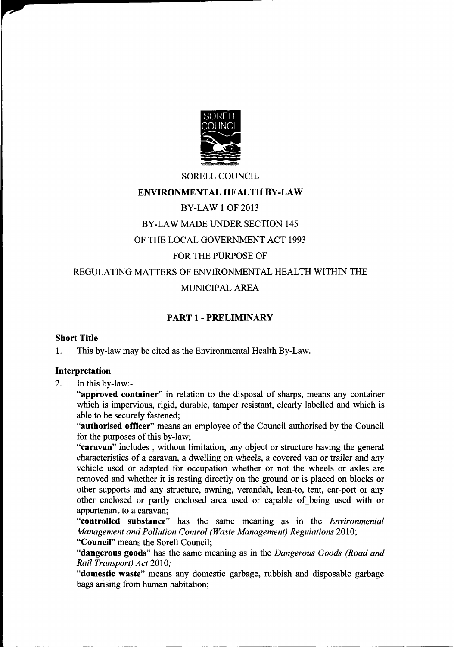

### SORELL COUNCIL ENVIRONMENTAL HEALTH BY-LAW BY-LAW <sup>1</sup> OF 2013 BY-LAW MADE UNDER SECTION 145 OF THE LOCAL GOVERNMENT ACT 1993 FOR THE PURPOSE OF REGULATING MATTERS OF ENVIRONMENTAL HEALTH WITHIN THE MUNICIPAL AREA

### PART <sup>1</sup> - PRELIMINARY

#### Short Title

1. This by-law may be cited as the Environmental Health By-Law.

#### Interpretation

2. In this by-law:-

"approved container" in relation to the disposal of sharps, means any container which is impervious, rigid, durable, tamper resistant, clearly labelled and which is able to be securely fastened;

"authorised officer" means an employee of the Council authorised by the Council for the purposes of this by-law;

"caravan" includes, without limitation, any object or structure having the general characteristics of a caravan, a dwelling on wheels, a covered van or trailer and any vehicle used or adapted for occupation whether or not the wheels or axles are removed and whether it is resting directly on the ground or is placed on blocks or other supports and any structure, awning, verandah, lean-to, tent, car-port or any other enclosed or partly enclosed area used or capable of\_being used with or appurtenant to a caravan;

"controlled substance" has the same meaning as in the *Environmental* Management and Pollution Control (Waste Management) Regulations 2010;

"Council" means the Sorell Council;

"dangerous goods" has the same meaning as in the Dangerous Goods (Road and Rail Transport) Act 2010:

"domestic waste" means any domestic garbage, rubbish and disposable garbage bags arising from human habitation;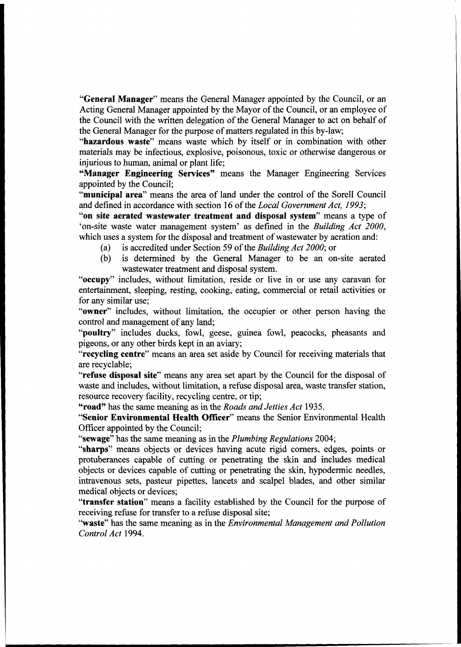"General Manager" means the General Manager appointed by the Council, or an Acting General Manager appointed by the Mayor of the Council, or an employee of the Council with the written delegation of the General Manager to

"Manager Engineering Services" means the Manager Engineering Services appointed by the Council;

"municipal area" means the area of land under the control of the Sorell Council and defined in accordance with section 16 of the *Local Government Act*, 1993;

" on site aerated wastewater treatment and disposal system" means a type of 'on-site waste water management system' as defined in the Building Act 2000,

- 
- which uses a system for the disposal and treatment of wastewater by aeration and:<br>
(a) is accredited under Section 59 of the Building Act 2000; or<br>
(b) is determined by the General Manager to be an on-site aerated wastewa

"occupy" includes, without limitation, reside or live in or use any caravan for entertainment, sleeping, resting, cooking, eating, commercial or retail activities or for any similar use;

"owner" includes, without limitation, the occupier or other person having the control and management of any land;

"poultry" includes ducks, fowl, geese, guinea fowl, peacocks, pheasants and pigeons, or any other birds kept in an aviary; "recycling centre" means an area set aside by Council for receiving materials that are recyclable;

"refuse disposal site" means any area set apart by the Council for the disposal of waste and includes, without limitation, a refuse disposal area, waste transfer station, resource recovery facility, recycling centre, or ti

"road" has the same meaning as in the Roads and Jetties Act 1935.

"Senior Environmental Health Officer" means the Senior Environmental Health Officer appointed by the Council;

"sewage" has the same meaning as in the *Plumbing Regulations* 2004;<br>"sharps" means objects or devices having acute rigid corners, edges, points or<br>protuberances capable of cutting or penetrating the skin and includes medi

"transfer station" means a facility established by the Council for the purpose of receiving refuse for transfer to a refuse disposal site;<br>"waste" has the same meaning as in the *Environmental Management and Pollution*<br>Con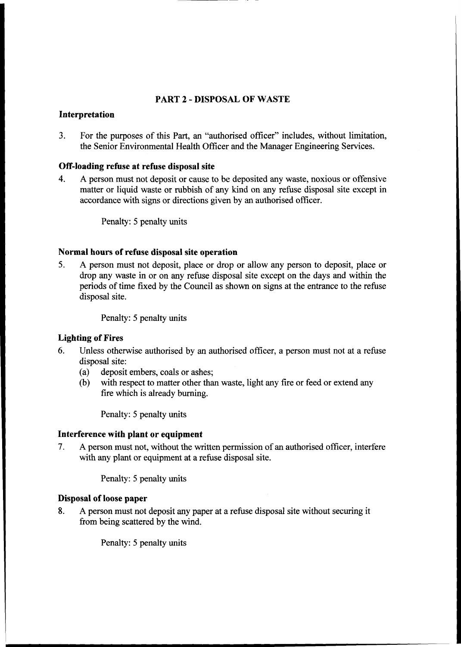#### PART <sup>2</sup> - DISPOSAL OF WASTE

#### Interpretation

3. For the purposes of this Part, an "authorised officer" includes, without limitation, the Senior Environmental Health Officer and the Manager Engineering Services.

#### Off-loading refuse at refuse disposal site

4. A person must not deposit or cause to be deposited any waste, noxious or offensive matter or liquid waste or rubbish of any kind on any refuse disposal site except in accordance with signs or directions given by an authorised officer.

Penalty: 5 penalty units

Normal hours of refuse disposal site operation<br>5. A person must not deposit, place or drop or allow any person to deposit, place or<br>drop any waste in or on any refuse disposal site except on the days and within the periods of time fixed by the Council as shown on signs at the entrance to the refuse disposal site.

Penalty: 5 penalty units

#### Lighting of Fires

- 6. Unless otherwise authorised by an authorised officer, <sup>a</sup> person must not at <sup>a</sup> refuse disposal site:
	-
	- (a) deposit embers, coals or ashes;<br>
	(b) with respect to matter other than waste, light any fire or feed or extend any fire which is already burning.

Penalty: <sup>5</sup> penalty units

#### Interference with plant or equipment

7. A person must not, without the written permission of an authorised officer, interfere with any plant or equipment at a refuse disposal site.

Penalty: 5 penalty units

#### Disposal of loose paper

8. A person must not deposit any paper at a refuse disposal site without securing it from being scattered by the wind.

Penalty: <sup>5</sup> penalty units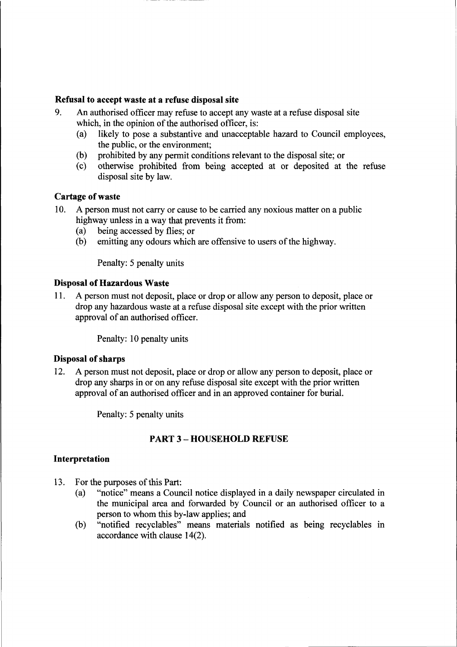#### Refusal to accept waste at <sup>a</sup> refuse disposal site

- 9. An authorisedofficer may refuse to accept any waste at <sup>a</sup> refuse disposal site which, in the opinion of the authorised officer, is:<br>(a) likely to pose a substantive and unacceptal
	- likely to pose a substantive and unacceptable hazard to Council employees, the public, or the environment;
	- (b) prohibited by any permit conditions relevant to the disposal site; or (c) otherwise prohibited from being accepted at or deposited at
	- (c) otherwise prohibited from being accepted at or deposited at the refuse disposal site by law.

#### Cartage of waste

- 10. A person must not carry or cause to be carried any noxious matter on a public highway unless in a way that prevents it from:<br>(a) being accessed by flies: or
	- (a) being accessed by flies; or<br>(b) emitting any odours which
		- emitting any odours which are offensive to users of the highway.

Penalty: 5 penalty units

#### Disposal of Hazardous Waste

11. A person must not deposit, place or drop or allow any personto deposit, place or drop any hazardous waste at a refuse disposal site except with the prior written approval of an authorised officer.

Penalty: 10 penalty units

#### Disposal of sharps

12. A person must not deposit, place or drop or allow any person to deposit, place or drop any sharps in or on any refuse disposal site except with the prior written approval of an authorised officer and in an approved container for burial.

Penalty: 5 penalty units

# PART3 - HOUSEHOLDREFUSE

#### Interpretation

- 13. For the purposes of this Part:<br>(a) "notice" means a Coun
	- "notice" means a Council notice displayed in a daily newspaper circulated in the municipal area and forwarded by Council or an authorised officer to <sup>a</sup> person to whom this by-law applies; and
	- (b) "notified recyclables" means materials notified as being recyclables in accordance with clause 14(2).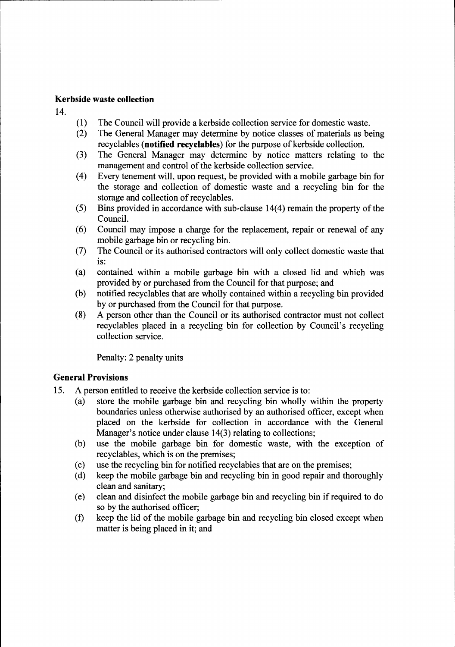#### Kerbsidewaste collection

14.

- (1) The Council will provide a kerbside collection service for domestic waste.<br>
(2) The General Manager may determine by notice classes of materials as be
- The General Manager may determine by notice classes of materials as being recyclables (**notified recyclables**) for the purpose of kerbside collection.
- (3) The General Manager may determine by notice matters relating to the management and control of the kerbside collection service.
- $(4)$  Every tenement will, upon request, be provided with a mobile garbage bin for the storage and collection of domestic waste and <sup>a</sup> recycling bin for the storage and collection of recyclables.
- (5) Bins provided in accordance with sub-clause  $14(4)$  remain the property of the Council.
- (6) Council may impose <sup>a</sup> charge for the replacement, repair or renewal of any mobile garbage bin or recycling bin.
- (7) The Council or its authorised contractors will only collect domestic waste that is:
- (a) contained within <sup>a</sup> mobile garbage bin with <sup>a</sup> closed lid and which was provided by or purchased from the Council for that purpose; and
- (b) notified recyclables that are wholly contained within a recycling bin provided<br>by or purchased from the Council for that purpose.<br>(8) A person other than the Council or its authorised contractor must not collect
- (8) A person other than the Council or its authorised contractor must not collect recyclables placed in <sup>a</sup> recycling bin for collection by Council's recycling collection service.

Penalty: 2 penalty units

#### **General Provisions**

- 15. A person entitled to receive the kerbside collection service is to:<br>(a) store the mobile garbage bin and recycling bin wholly
	- store the mobile garbage bin and recycling bin wholly within the property boundaries unless otherwise authorised by an authorised officer, except when placed on the kerbside for collection in accordance with the General Manager's notice under clause  $14(3)$  relating to collections;
	- (b) use the mobile garbage bin for domestic waste, with the exception of recyclables, which is on the premises;
	- (c) use the recycling bin for notified recyclables that are on the premises;<br>(d) keep the mobile garbage bin and recycling bin in good repair and the
	- keep the mobile garbage bin and recycling bin in good repair and thoroughly clean and sanitary;
	- (e) clean and disinfect the mobile garbage bin and recycling bin if required to do so by the authorised officer;
	- (f) keep the lid of the mobile garbage bin and recycling bin closed except when matter is being placed in it; and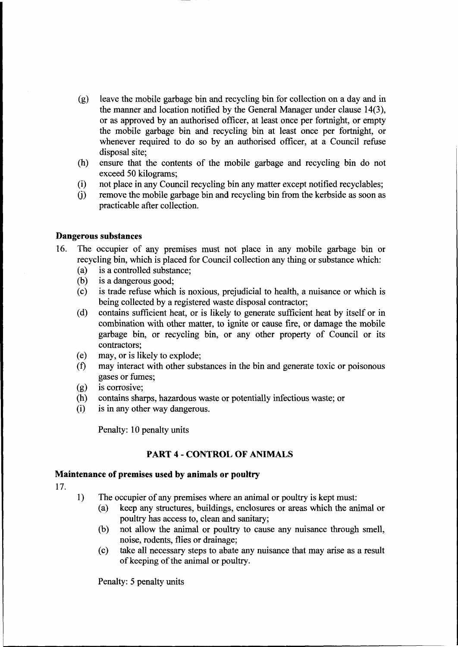- (g) leave the mobile garbage bin and recycling bin for collection on <sup>a</sup> day and in the manner and location notified by the General Manager under clause 14(3), or as approved by an authorised officer, at least once per fortnight, or empty the mobile garbage bin and recycling bin at least once per fortnight, or whenever required to do so by an authorised officer, at <sup>a</sup> Council refuse disposal site;
- (h) ensure that the contents of the mobile garbage and recycling bin do not exceed 50 kilograms;
- (i) not place in any Council recycling bin any matter except notified recyclables;  $(i)$  remove the mobile garbage bin and recycling bin from the kerbside as soon as
- practicableafter collection.

#### Dangerous substances

- 16. The occupier of any premises must not place in any mobile garbage bin or recycling bin, which is placed for Council collection any thing or substance which: (a) is a controlled substance;
	-
	-
	- (b) is a dangerous good;<br>
	(c) is trade refuse which is noxious, prejudicial to health, a nuisance or which is<br>
	being collected by a registered waste disposal contractor;
	- (d) contains sufficient heat, or is likely to generate sufficient heat by itself or in combination with other matter, to ignite or cause fire, or damage the mobile garbage bin, or recycling bin, or any other property of Council or its contractors;
	-
	- (e) may, or is likely to explode; (f) may interactwith other substances in the bin and generate toxic or poisonous gases or fumes;
	- (g) is corrosive;
	- (h) contains sharps, hazardous waste or potentially infectious waste; or (i) is in any other way dangerous.
	-

Penalty: 10 penalty units

#### PART <sup>4</sup> - CONTROL OF ANIMALS

## Maintenance of premises used by animals or poultry 17.

- 
- 1) The occupier of any premises where an animal or poultry is kept must:<br>
(a) keep any structures, buildings, enclosures or areas which the animal or poultry has access to, clean and sanitary;
	- (b) not allow the animal or poultry to cause any nuisance through smell, noise, rodents, flies or drainage;
	- (c) take all necessarysteps to abate any nuisance that may arise as <sup>a</sup> result of keeping of the animal or poultry.

Penalty: 5 penalty units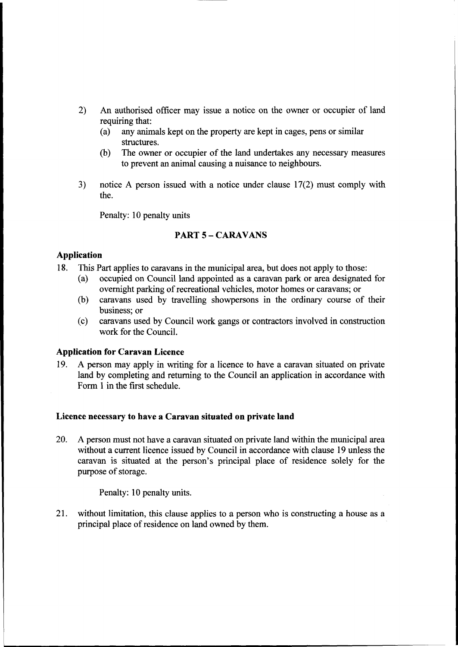- 2) An authorised officer may issue <sup>a</sup> notice on the owner or occupier of land requiring that:<br>(a) any anim
	- any animals kept on the property are kept in cages, pens or similar structures.
	- (b) The owner or occupier of the land undertakes any necessary measures to prevent an animal causing <sup>a</sup> nuisance to neighbours.
- 3) notice <sup>A</sup> person issued with <sup>a</sup> notice under clause 17(2) must comply with the.

Penalty: 10 penalty units

## PART 5 – CARAVANS

#### Application

- 18. This Part applies to caravans in the municipal area, but does not apply to those:<br>(a) occupied on Council land appointed as a caravan park or area designated
	- occupied on Council land appointed as a caravan park or area designated for overnight parking of recreational vehicles, motor homes or caravans; or
	- (b) caravans used by travelling showpersons in the ordinary course of their business; or
	- (c) caravans used by Council work gangs or contractorsinvolved in construction work for the Council.

#### Application for Caravan Licence

19. A person may apply in writing for a licence to have a caravan situated on private land by completing and returning to the Council an application in accordance with Form 1 in the first schedule.

#### Licence necessary to have a Caravan situated on private land

20. A person must not have a caravan situated on private land within the municipal area without a current licence issued by Council in accordance with clause 19 unless the caravan is situated at the person's principal place of residence solely for the purpose of storage.

Penalty: 10 penalty units.

21. without limitation, this clause applies to <sup>a</sup> person who is constructing<sup>a</sup> house as <sup>a</sup> principal place of residence on land owned by them.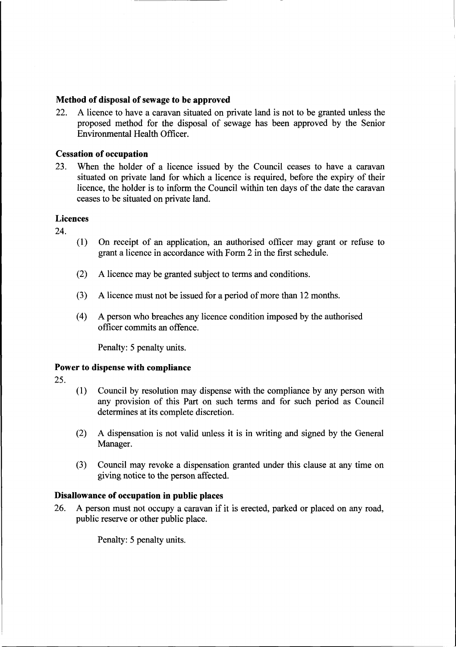#### Method of disposal of sewage to be approved

22. A licence to have <sup>a</sup> caravan situated on private land is not to be granted unless the proposed method for the disposal of sewage has been approved by the Senior Environmental Health Officer.

#### **Cessation of occupation**

23. When the holder of <sup>a</sup> licence issued by the Council ceases to have <sup>a</sup> caravan situated on private land for which <sup>a</sup> licence is required, before the expiry of their licence, the holder is to inform the Council within ten days of the date the caravan ceases to be situated on private land.

#### Licences

24.

- (1) On receipt of an application, an authorised officer may grant or refuse to grant <sup>a</sup> licence in accordancewith Form <sup>2</sup> in the first schedule.
- $(2)$  A licence may be granted subject to terms and conditions.
- (3) A licence must not be issued for <sup>a</sup> periodofmore than <sup>12</sup> months.
- (4) A person who breaches any licence condition imposed by the authorised officer commitsan offence.

Penalty: 5 penalty units.

#### Power to dispense with compliance

25.

- (1) Council by resolutionmay dispense with the compliance by any person with any provision of this Part on such terms and for such period as Council determines at its complete discretion.
- (2) A dispensation is not valid unless it is in writing and signed by the General Manager.
- (3) Council may revoke <sup>a</sup> dispensation granted under this clause at any time on giving notice to the person affected.

#### Disallowance of occupation in public places

26. A person must not occupy <sup>a</sup> caravan if it is erected, parked or placed on any road, public reserve or other public place.

Penalty: 5 penalty units.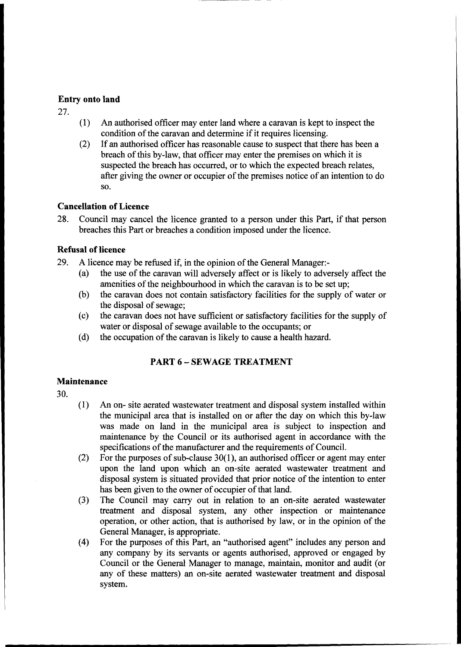#### Entry onto land

27.

- (1) An authorised officer may enter land where a caravan is kept to inspect the condition of the caravan and determine if it requires licensing.
- (2) If an authorised officer has reasonable cause to suspect that there has been a breach of this by-law, that officer may enter the premises on which it is suspected the breach has occurred, or to which the expected breach relates, after giving the owner or occupier of the premises notice of an intention to do s0.

#### Cancellation of Licence

28. Council may cancel the licence granted to a person under this Part, if that person breaches this Part or breaches a condition imposed under the licence.

#### **Refusal of licence**

- 
- 29. A licence may be refused if, in the opinion of the General Manager:-<br>
(a) the use of the caravan will adversely affect or is likely to adversely affect the<br>
amentities of the neighbourhood in which the caravan is to be
	-
	- (b) the caravan does not contain satisfactory facilities for the supply of water or<br>the disposal of sewage;<br>(c) the caravan does not have sufficient or satisfactory facilities for the supply of<br>water or disposal of sewage
	-

### PART 6 – SEWAGE TREATMENT

#### Maintenance

30.

- (1) An on- site aerated wastewater treatment and disposal system installed within the municipal area that is installed on or after the day on which this by-law was made on land in the municipal area is subject to inspection and maintenance by the Council or its authorised agent in accordance with the specifications of the manufacturer and the requirements of Council.
- (2) For the purposes of sub-clause  $30(1)$ , an authorised officer or agent may enter upon the land upon which an on-site aerated wastewater treatment and disposal system is situated provided that prior notice of the intention to enter has been given to the owner of occupier of that land.
- (3) The Council may carry out in relation to an on-site aerated wastewater treatment and disposal system, any other inspection or maintenance operation, or other action, that is authorised by law, or in the opinion of the General Manager, is appropriate.<br>
(4) For the purposes of this Part, an "authorised agent" includes any person and
- any company by its servants or agents authorised, approved or engaged by Council or the General Manager to manage, maintain, monitor and audit (or any of these matters) an on-site aerated wastewater treatment and disposal system.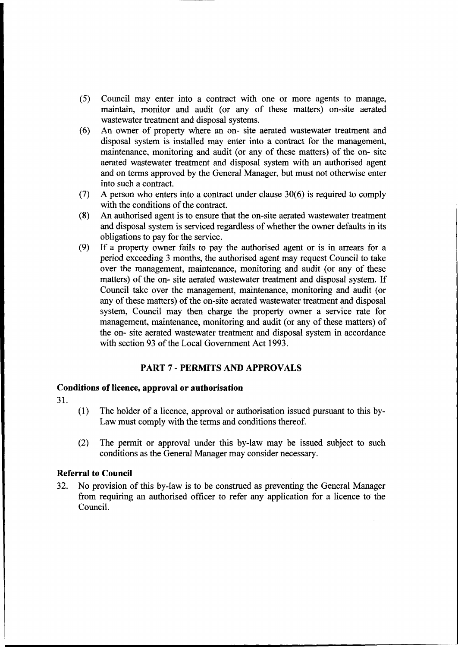- (5) Council may enter into <sup>a</sup> contract with one or more agents to manage, maintain, monitor and audit (or any of these matters) on-site aerated
- (6) An owner of property where an on- site aerated wastewater treatment and disposal system is installed may enter into a contract for the management, maintenance, monitoring and audit (or any of these matters) of the on and on terms approved by the General Manager, but must not otherwise enter into such a contract.
- (7) A person who enters into a contract under clause  $30(6)$  is required to comply with the conditions of the contract.<br>(8) An authorised agent is to ensure that the on-site aerated wastewater treatment
- An authorised agent is to ensure that the on-site aerated wastewater treatment and disposal system is serviced regardless of whether the owner defaults in its obligations to pay for the service.
- (9) If <sup>a</sup> property owner fails to pay the authorised agent or is in arrears for <sup>a</sup> period exceeding <sup>3</sup> months, the authorised agent may request Council to take over the management, maintenance, monitoring and audit (or any of these matters) of the on- site aerated wastewater treatment and disposal system. If Council take over the management, maintenance, monitoring and audit (or any of these matters) of the on-site aerated wastewater treatment and disposal system, Council may then charge the property owner a service rate for management, maintenance, monitoring and audit (or any of these matters) of the on- site aerated wastewater treatment and disposal system in accordance with section 93 of the Local Government Act 1993.

#### PART <sup>7</sup> - PERMITS AND APPROVALS

#### Conditions of licence, approval or authorisation

31.

- (1) The holder of a licence, approval or authorisation issued pursuant to this by-<br>Law must comply with the terms and conditions thereof.
- (2) The permit or approval under this by-law may be issued subject to such conditions as the General Manager may consider necessary.

#### Referral to Council

32. No provision of this by-law is to be construed as preventing the General Manager from requiring an authorised officer to refer any application for <sup>a</sup> licence to the Council.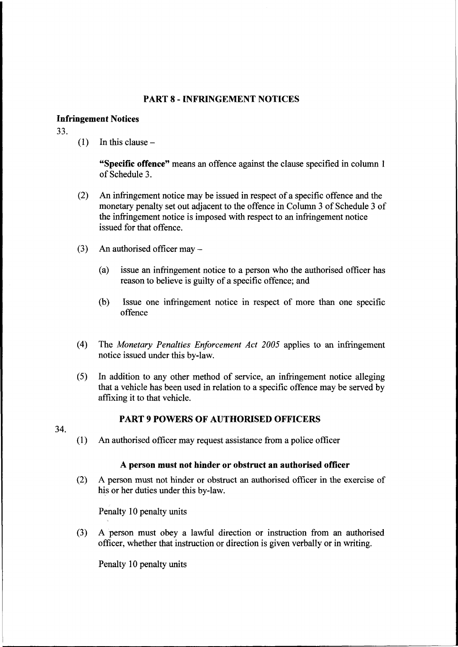#### PART 8 - INFRINGEMENT NOTICES

#### **Infringement Notices**

33.

 $(1)$  In this clause –

"Specific offence" means an offence against the clause specified in column 1 of Schedule 3.

- (2) An infringement notice may be issued in respect of a specific offence and the monetary penalty set out adjacent to the offence in Column 3 of Schedule 3 of the infringement notice is imposed with respect to an infringement notice issued for that offence.
- (3) An authorised officer may  $-$ 
	- (a) issue an infringement notice to <sup>a</sup> person who the authorised officer has reason to believe is guilty of <sup>a</sup> specific offence; and
	- (b) Issue one infringement notice in respect of more than one specific offence
- (4) The Monetary Penalties Enforcement Act  $2005$  applies to an infringement notice issued under this by-law.
- (5) In addition to any other method of service, an infringement notice alleging that <sup>a</sup> vehicle has been used in relation to <sup>a</sup> specific offencemay be served by affixing it to that vehicle.

34.

#### PART 9 POWERS OF AUTHORISED OFFICERS

 $(1)$  An authorised officer may request assistance from a police officer

#### A person must not hinder or obstruct an authorisedofficer

(2) <sup>A</sup> person must not hinder or obstruct an authorised officer in the exercise of his or her duties under this by-law.

Penalty <sup>10</sup> penalty units

(3) A person must obey <sup>a</sup> lawful direction or instruction from an authorised officer, whether that instruction or direction is given verbally or in writing.

Penalty <sup>10</sup> penalty units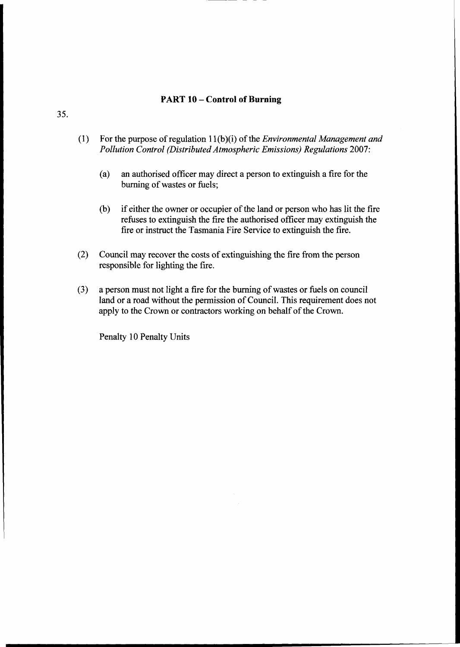### 'ART 10 – Control of Burning

- (1) For the purpose of regulation  $11(b)(i)$  of the *Environmental Management and Pollution Control (Distributed Atmospheric Emissions) Regulations 2007:* 
	- (a) an authorised officer may direct a person to extinguish a fire for the burning of wastes or fuels;
	- (b) if either the owner or occupier of the land or person who has lit the fire refuses to extinguish the fire the authorised officer may extinguish the fire or instruct the Tasmania Fire Service to extinguish the fire.
- (2) Council may recover the costs of extinguishing the fire from the person responsible for lighting the fire.
- (3) a person must not light a fire for the burning of wastes or fuels on council land or a road without the permission of Council. This requirement does not apply to the Crown or contractors working on behalf of the Crown.

Penalty 10 Penalty Units

35.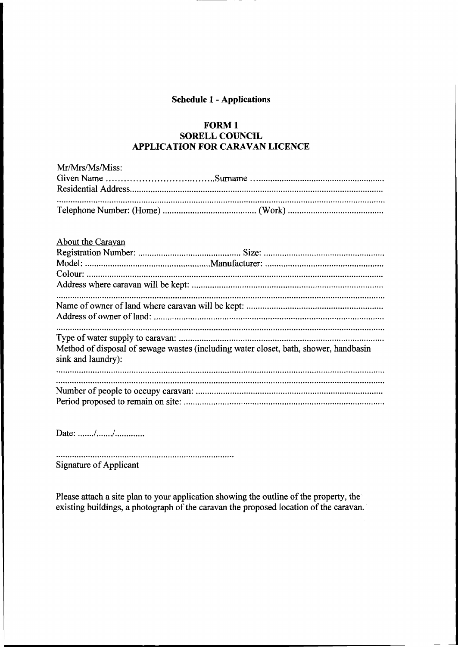#### Schedule<sup>1</sup> - Applications

#### FORM 1 SORELL COUNCIL **APPLICATION FOR CARAVAN LICENCE**

| Mr/Mrs/Ms/Miss:                                                                      |
|--------------------------------------------------------------------------------------|
|                                                                                      |
| About the Caravan                                                                    |
|                                                                                      |
|                                                                                      |
|                                                                                      |
|                                                                                      |
|                                                                                      |
|                                                                                      |
|                                                                                      |
|                                                                                      |
|                                                                                      |
| Method of disposal of sewage wastes (including water closet, bath, shower, handbasin |

Number ofpeople to occupy caravan: .................................................................................. Period proposedto remain on site: ........................................................................................

<sup>D</sup>ate.. ......./......./.............

sink and laundry):

Signature of Applicant

Please attach a site plan to your application showing the outline of the property, the existing buildings, a photograph of the caravan the proposed location of the caravan.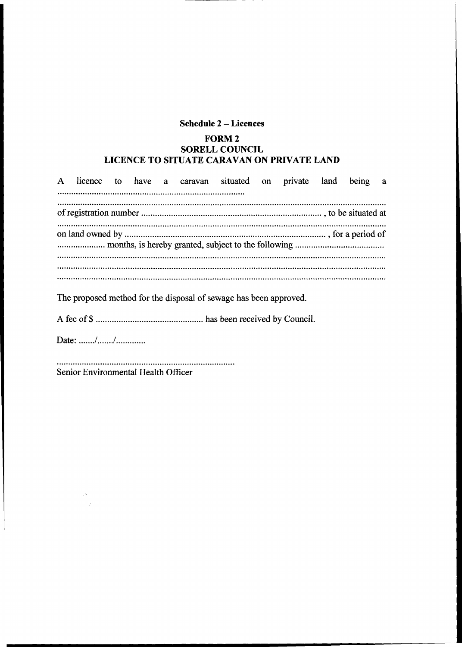### Schedule 2 - Licences

### FORM 2 SORELL COUNCIL LICENCE TO SITUATE CARAVAN ON PRIVATE LAND

| $\mathbf{A}$ |  |  | licence to have a caravan situated on private land                |  | being a |  |
|--------------|--|--|-------------------------------------------------------------------|--|---------|--|
|              |  |  |                                                                   |  |         |  |
|              |  |  |                                                                   |  |         |  |
|              |  |  |                                                                   |  |         |  |
|              |  |  |                                                                   |  |         |  |
|              |  |  |                                                                   |  |         |  |
|              |  |  | The proposed method for the disposal of sewage has been approved. |  |         |  |

<sup>A</sup> fee of \$ ...............................................has been received by Council.

<sup>D</sup>ate.. ......./......./.............

Senior Environmental Health Officer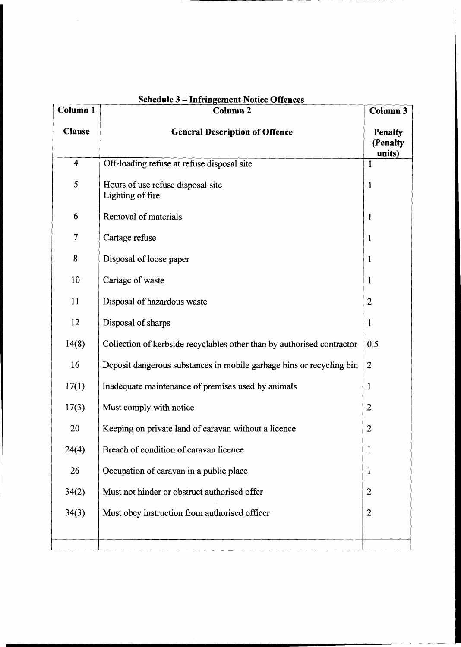| <b>Schedule 3 - Infringement Notice Offences</b> |                                                                        |                                      |  |  |  |  |  |  |
|--------------------------------------------------|------------------------------------------------------------------------|--------------------------------------|--|--|--|--|--|--|
| <b>Column 1</b>                                  | <b>Column 2</b>                                                        | Column 3                             |  |  |  |  |  |  |
| <b>Clause</b>                                    | <b>General Description of Offence</b>                                  | <b>Penalty</b><br>(Penalty<br>units) |  |  |  |  |  |  |
| $\overline{\mathbf{4}}$                          | Off-loading refuse at refuse disposal site                             | 1                                    |  |  |  |  |  |  |
| 5                                                | Hours of use refuse disposal site<br>$\mathbf{1}$<br>Lighting of fire  |                                      |  |  |  |  |  |  |
| 6                                                | Removal of materials                                                   | $\mathbf{1}$                         |  |  |  |  |  |  |
| $\overline{7}$                                   | Cartage refuse                                                         | 1                                    |  |  |  |  |  |  |
| 8                                                | Disposal of loose paper                                                | 1                                    |  |  |  |  |  |  |
| 10                                               | Cartage of waste                                                       | 1                                    |  |  |  |  |  |  |
| 11                                               | Disposal of hazardous waste                                            | $\overline{2}$                       |  |  |  |  |  |  |
| 12                                               | Disposal of sharps                                                     | $\mathbf{1}$                         |  |  |  |  |  |  |
| 14(8)                                            | Collection of kerbside recyclables other than by authorised contractor | 0.5                                  |  |  |  |  |  |  |
| 16                                               | Deposit dangerous substances in mobile garbage bins or recycling bin   | $\overline{2}$                       |  |  |  |  |  |  |
| 17(1)                                            | Inadequate maintenance of premises used by animals                     | $\mathbf{1}$                         |  |  |  |  |  |  |
| 17(3)                                            | Must comply with notice                                                | $\overline{2}$                       |  |  |  |  |  |  |
| 20                                               | Keeping on private land of caravan without a licence                   | $\overline{2}$                       |  |  |  |  |  |  |
| 24(4)                                            | Breach of condition of caravan licence                                 | 1                                    |  |  |  |  |  |  |
| 26                                               | Occupation of caravan in a public place                                | $\mathbf{1}$                         |  |  |  |  |  |  |
| 34(2)                                            | Must not hinder or obstruct authorised offer                           | $\overline{2}$                       |  |  |  |  |  |  |
| 34(3)                                            | Must obey instruction from authorised officer                          | $\overline{2}$                       |  |  |  |  |  |  |
|                                                  |                                                                        |                                      |  |  |  |  |  |  |
|                                                  |                                                                        |                                      |  |  |  |  |  |  |